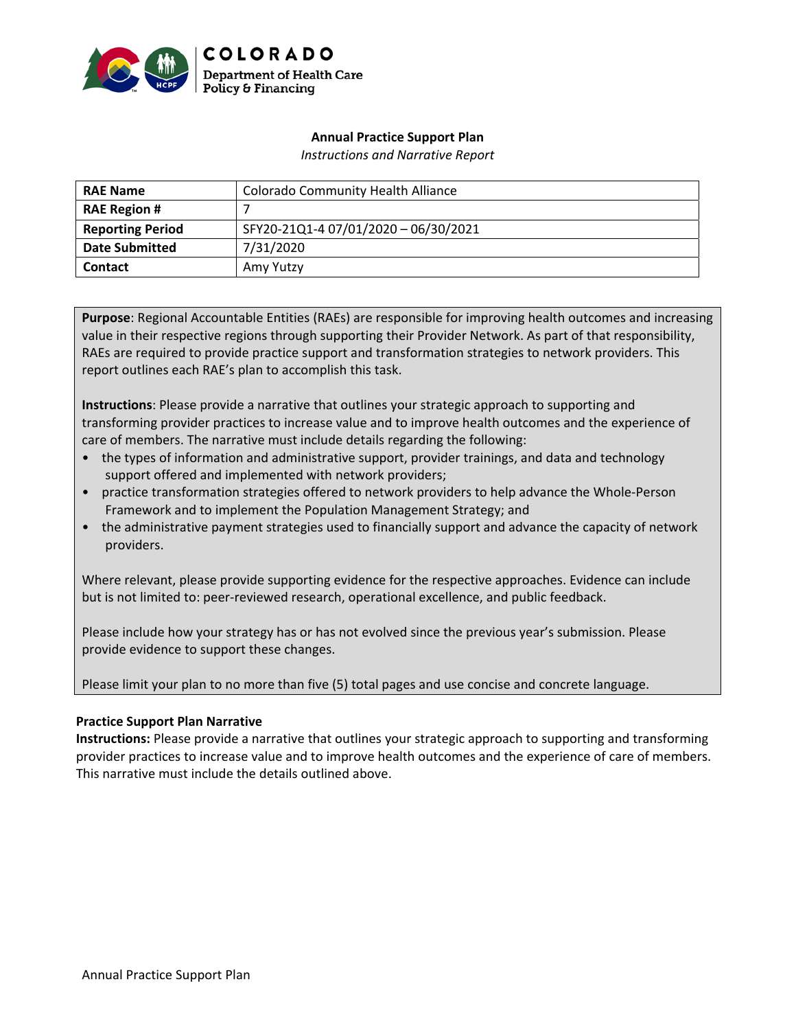

# **Annual Practice Support Plan**

*Instructions and Narrative Report*

| <b>RAE Name</b>         | <b>Colorado Community Health Alliance</b> |
|-------------------------|-------------------------------------------|
| <b>RAE Region #</b>     |                                           |
| <b>Reporting Period</b> | SFY20-21Q1-4 07/01/2020 - 06/30/2021      |
| <b>Date Submitted</b>   | 7/31/2020                                 |
| <b>Contact</b>          | Amy Yutzy                                 |

**Purpose**: Regional Accountable Entities (RAEs) are responsible for improving health outcomes and increasing value in their respective regions through supporting their Provider Network. As part of that responsibility, RAEs are required to provide practice support and transformation strategies to network providers. This report outlines each RAE's plan to accomplish this task.

**Instructions**: Please provide a narrative that outlines your strategic approach to supporting and transforming provider practices to increase value and to improve health outcomes and the experience of care of members. The narrative must include details regarding the following:

- the types of information and administrative support, provider trainings, and data and technology support offered and implemented with network providers;
- practice transformation strategies offered to network providers to help advance the Whole-Person Framework and to implement the Population Management Strategy; and
- the administrative payment strategies used to financially support and advance the capacity of network providers.

Where relevant, please provide supporting evidence for the respective approaches. Evidence can include but is not limited to: peer-reviewed research, operational excellence, and public feedback.

Please include how your strategy has or has not evolved since the previous year's submission. Please provide evidence to support these changes.

Please limit your plan to no more than five (5) total pages and use concise and concrete language.

# **Practice Support Plan Narrative**

**Instructions:** Please provide a narrative that outlines your strategic approach to supporting and transforming provider practices to increase value and to improve health outcomes and the experience of care of members. This narrative must include the details outlined above.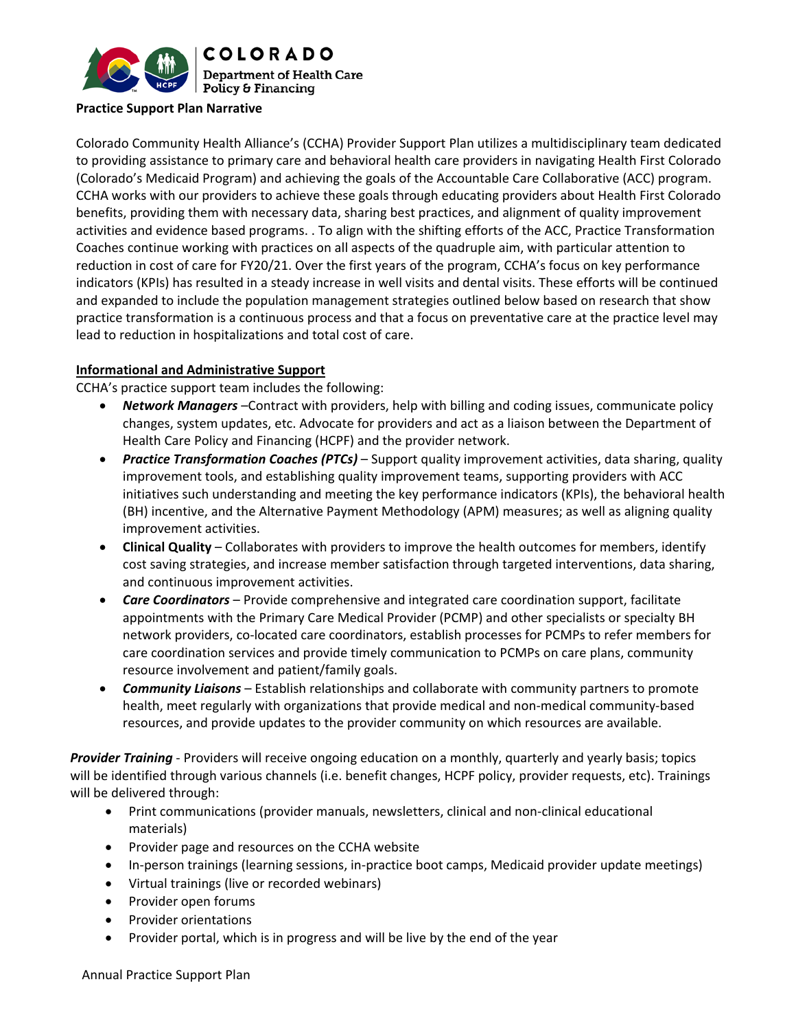

#### **Practice Support Plan Narrative**

Colorado Community Health Alliance's (CCHA) Provider Support Plan utilizes a multidisciplinary team dedicated to providing assistance to primary care and behavioral health care providers in navigating Health First Colorado (Colorado's Medicaid Program) and achieving the goals of the Accountable Care Collaborative (ACC) program. CCHA works with our providers to achieve these goals through educating providers about Health First Colorado benefits, providing them with necessary data, sharing best practices, and alignment of quality improvement activities and evidence based programs. . To align with the shifting efforts of the ACC, Practice Transformation Coaches continue working with practices on all aspects of the quadruple aim, with particular attention to reduction in cost of care for FY20/21. Over the first years of the program, CCHA's focus on key performance indicators (KPIs) has resulted in a steady increase in well visits and dental visits. These efforts will be continued and expanded to include the population management strategies outlined below based on research that show practice transformation is a continuous process and that a focus on preventative care at the practice level may lead to reduction in hospitalizations and total cost of care.

## **Informational and Administrative Support**

CCHA's practice support team includes the following:

- *Network Managers* –Contract with providers, help with billing and coding issues, communicate policy changes, system updates, etc. Advocate for providers and act as a liaison between the Department of Health Care Policy and Financing (HCPF) and the provider network.
- *Practice Transformation Coaches (PTCs)* Support quality improvement activities, data sharing, quality improvement tools, and establishing quality improvement teams, supporting providers with ACC initiatives such understanding and meeting the key performance indicators (KPIs), the behavioral health (BH) incentive, and the Alternative Payment Methodology (APM) measures; as well as aligning quality improvement activities.
- **Clinical Quality** Collaborates with providers to improve the health outcomes for members, identify cost saving strategies, and increase member satisfaction through targeted interventions, data sharing, and continuous improvement activities.
- *Care Coordinators* Provide comprehensive and integrated care coordination support, facilitate appointments with the Primary Care Medical Provider (PCMP) and other specialists or specialty BH network providers, co‐located care coordinators, establish processes for PCMPs to refer members for care coordination services and provide timely communication to PCMPs on care plans, community resource involvement and patient/family goals.
- *Community Liaisons* Establish relationships and collaborate with community partners to promote health, meet regularly with organizations that provide medical and non-medical community-based resources, and provide updates to the provider community on which resources are available.

*Provider Training* ‐ Providers will receive ongoing education on a monthly, quarterly and yearly basis; topics will be identified through various channels (i.e. benefit changes, HCPF policy, provider requests, etc). Trainings will be delivered through:

- Print communications (provider manuals, newsletters, clinical and non-clinical educational materials)
- Provider page and resources on the CCHA website
- In‐person trainings (learning sessions, in‐practice boot camps, Medicaid provider update meetings)
- Virtual trainings (live or recorded webinars)
- Provider open forums
- Provider orientations
- Provider portal, which is in progress and will be live by the end of the year

Annual Practice Support Plan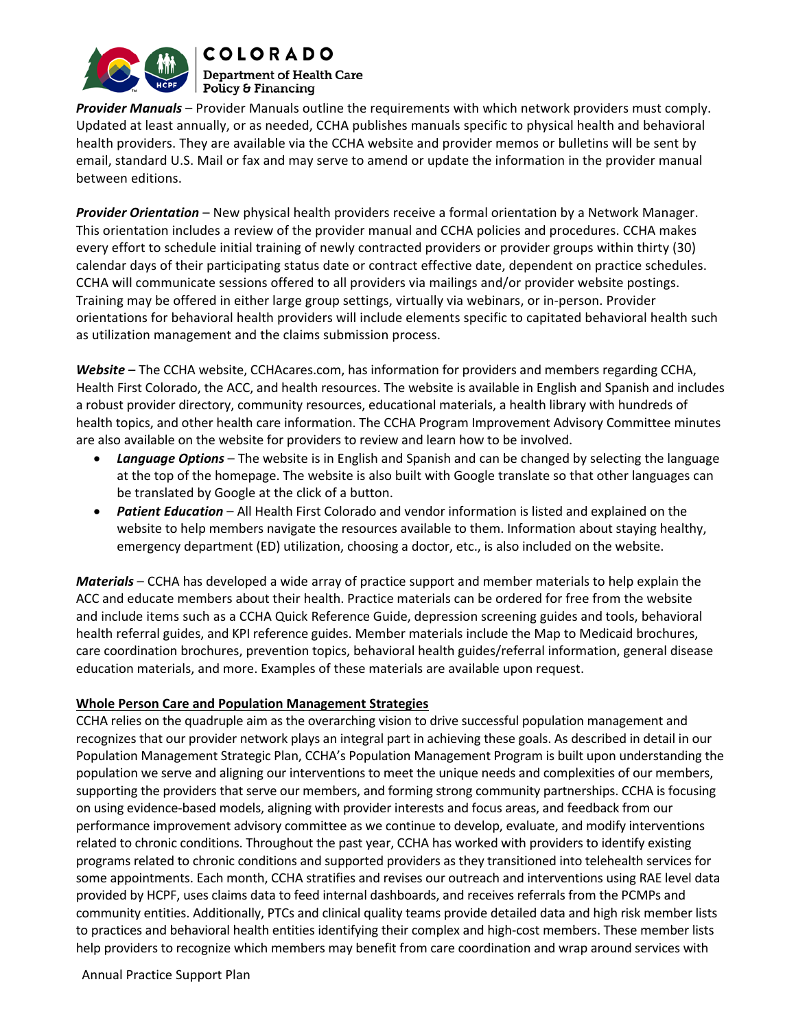

**COLORADO Department of Health Care** Policy & Financing

*Provider Manuals* – Provider Manuals outline the requirements with which network providers must comply. Updated at least annually, or as needed, CCHA publishes manuals specific to physical health and behavioral health providers. They are available via the CCHA website and provider memos or bulletins will be sent by email, standard U.S. Mail or fax and may serve to amend or update the information in the provider manual between editions.

*Provider Orientation* – New physical health providers receive a formal orientation by a Network Manager. This orientation includes a review of the provider manual and CCHA policies and procedures. CCHA makes every effort to schedule initial training of newly contracted providers or provider groups within thirty (30) calendar days of their participating status date or contract effective date, dependent on practice schedules. CCHA will communicate sessions offered to all providers via mailings and/or provider website postings. Training may be offered in either large group settings, virtually via webinars, or in‐person. Provider orientations for behavioral health providers will include elements specific to capitated behavioral health such as utilization management and the claims submission process.

*Website* – The CCHA website, CCHAcares.com, has information for providers and members regarding CCHA, Health First Colorado, the ACC, and health resources. The website is available in English and Spanish and includes a robust provider directory, community resources, educational materials, a health library with hundreds of health topics, and other health care information. The CCHA Program Improvement Advisory Committee minutes are also available on the website for providers to review and learn how to be involved.

- *Language Options* The website is in English and Spanish and can be changed by selecting the language at the top of the homepage. The website is also built with Google translate so that other languages can be translated by Google at the click of a button.
- *Patient Education* All Health First Colorado and vendor information is listed and explained on the website to help members navigate the resources available to them. Information about staying healthy, emergency department (ED) utilization, choosing a doctor, etc., is also included on the website.

*Materials* – CCHA has developed a wide array of practice support and member materials to help explain the ACC and educate members about their health. Practice materials can be ordered for free from the website and include items such as a CCHA Quick Reference Guide, depression screening guides and tools, behavioral health referral guides, and KPI reference guides. Member materials include the Map to Medicaid brochures, care coordination brochures, prevention topics, behavioral health guides/referral information, general disease education materials, and more. Examples of these materials are available upon request.

# **Whole Person Care and Population Management Strategies**

CCHA relies on the quadruple aim as the overarching vision to drive successful population management and recognizes that our provider network plays an integral part in achieving these goals. As described in detail in our Population Management Strategic Plan, CCHA's Population Management Program is built upon understanding the population we serve and aligning our interventions to meet the unique needs and complexities of our members, supporting the providers that serve our members, and forming strong community partnerships. CCHA is focusing on using evidence‐based models, aligning with provider interests and focus areas, and feedback from our performance improvement advisory committee as we continue to develop, evaluate, and modify interventions related to chronic conditions. Throughout the past year, CCHA has worked with providers to identify existing programs related to chronic conditions and supported providers as they transitioned into telehealth services for some appointments. Each month, CCHA stratifies and revises our outreach and interventions using RAE level data provided by HCPF, uses claims data to feed internal dashboards, and receives referrals from the PCMPs and community entities. Additionally, PTCs and clinical quality teams provide detailed data and high risk member lists to practices and behavioral health entities identifying their complex and high‐cost members. These member lists help providers to recognize which members may benefit from care coordination and wrap around services with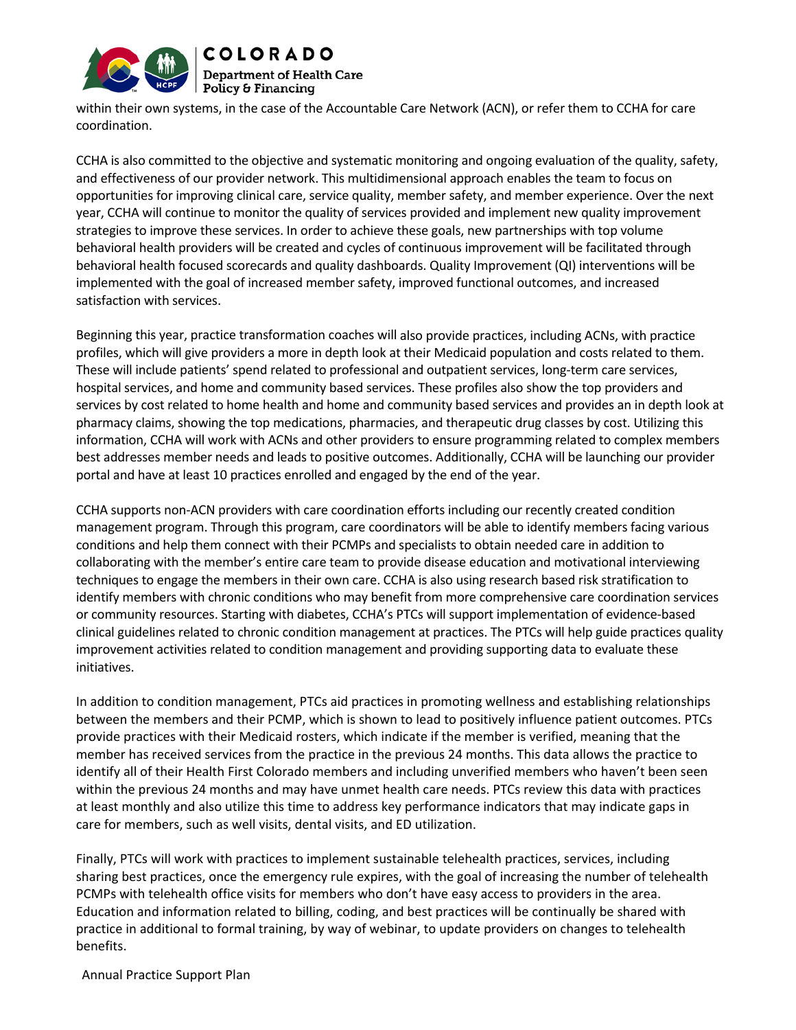

within their own systems, in the case of the Accountable Care Network (ACN), or refer them to CCHA for care coordination.

CCHA is also committed to the objective and systematic monitoring and ongoing evaluation of the quality, safety, and effectiveness of our provider network. This multidimensional approach enables the team to focus on opportunities for improving clinical care, service quality, member safety, and member experience. Over the next year, CCHA will continue to monitor the quality of services provided and implement new quality improvement strategies to improve these services. In order to achieve these goals, new partnerships with top volume behavioral health providers will be created and cycles of continuous improvement will be facilitated through behavioral health focused scorecards and quality dashboards. Quality Improvement (QI) interventions will be implemented with the goal of increased member safety, improved functional outcomes, and increased satisfaction with services.

Beginning this year, practice transformation coaches will also provide practices, including ACNs, with practice profiles, which will give providers a more in depth look at their Medicaid population and costs related to them. These will include patients' spend related to professional and outpatient services, long‐term care services, hospital services, and home and community based services. These profiles also show the top providers and services by cost related to home health and home and community based services and provides an in depth look at pharmacy claims, showing the top medications, pharmacies, and therapeutic drug classes by cost. Utilizing this information, CCHA will work with ACNs and other providers to ensure programming related to complex members best addresses member needs and leads to positive outcomes. Additionally, CCHA will be launching our provider portal and have at least 10 practices enrolled and engaged by the end of the year.

CCHA supports non‐ACN providers with care coordination efforts including our recently created condition management program. Through this program, care coordinators will be able to identify members facing various conditions and help them connect with their PCMPs and specialists to obtain needed care in addition to collaborating with the member's entire care team to provide disease education and motivational interviewing techniques to engage the members in their own care. CCHA is also using research based risk stratification to identify members with chronic conditions who may benefit from more comprehensive care coordination services or community resources. Starting with diabetes, CCHA's PTCs will support implementation of evidence‐based clinical guidelines related to chronic condition management at practices. The PTCs will help guide practices quality improvement activities related to condition management and providing supporting data to evaluate these initiatives.

In addition to condition management, PTCs aid practices in promoting wellness and establishing relationships between the members and their PCMP, which is shown to lead to positively influence patient outcomes. PTCs provide practices with their Medicaid rosters, which indicate if the member is verified, meaning that the member has received services from the practice in the previous 24 months. This data allows the practice to identify all of their Health First Colorado members and including unverified members who haven't been seen within the previous 24 months and may have unmet health care needs. PTCs review this data with practices at least monthly and also utilize this time to address key performance indicators that may indicate gaps in care for members, such as well visits, dental visits, and ED utilization.

Finally, PTCs will work with practices to implement sustainable telehealth practices, services, including sharing best practices, once the emergency rule expires, with the goal of increasing the number of telehealth PCMPs with telehealth office visits for members who don't have easy access to providers in the area. Education and information related to billing, coding, and best practices will be continually be shared with practice in additional to formal training, by way of webinar, to update providers on changes to telehealth benefits.

Annual Practice Support Plan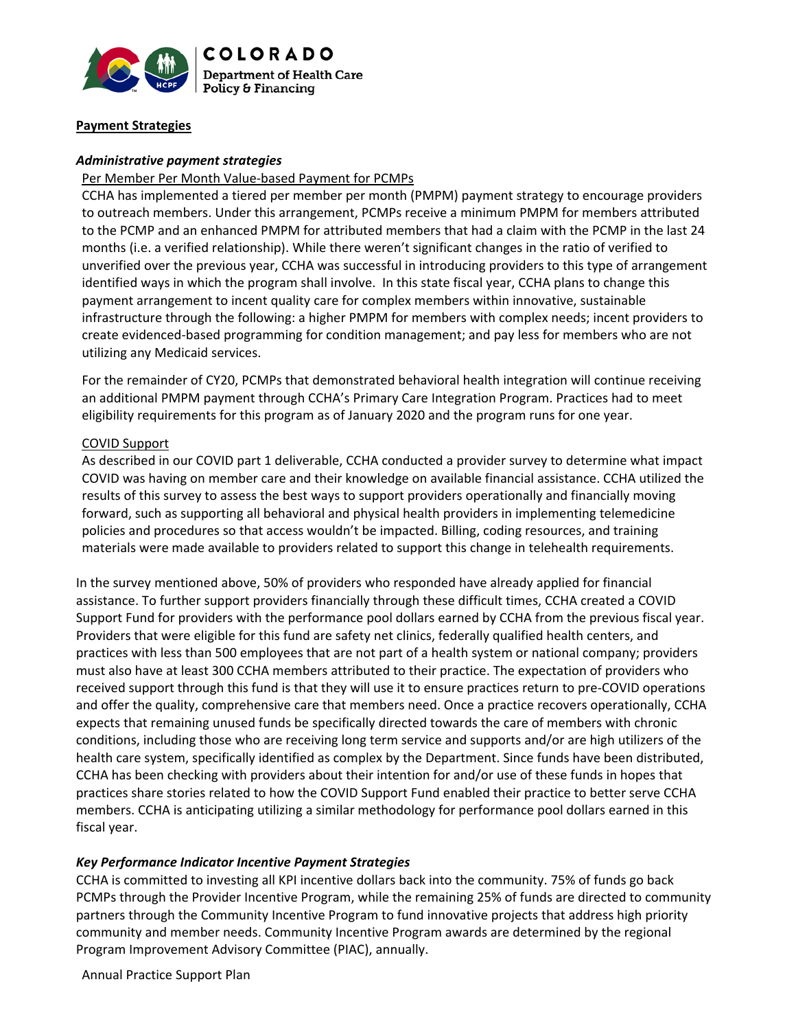

## **Payment Strategies**

## *Administrative payment strategies*

#### Per Member Per Month Value‐based Payment for PCMPs

CCHA has implemented a tiered per member per month (PMPM) payment strategy to encourage providers to outreach members. Under this arrangement, PCMPs receive a minimum PMPM for members attributed to the PCMP and an enhanced PMPM for attributed members that had a claim with the PCMP in the last 24 months (i.e. a verified relationship). While there weren't significant changes in the ratio of verified to unverified over the previous year, CCHA was successful in introducing providers to this type of arrangement identified ways in which the program shall involve. In this state fiscal year, CCHA plans to change this payment arrangement to incent quality care for complex members within innovative, sustainable infrastructure through the following: a higher PMPM for members with complex needs; incent providers to create evidenced‐based programming for condition management; and pay less for members who are not utilizing any Medicaid services.

For the remainder of CY20, PCMPs that demonstrated behavioral health integration will continue receiving an additional PMPM payment through CCHA's Primary Care Integration Program. Practices had to meet eligibility requirements for this program as of January 2020 and the program runs for one year.

## COVID Support

As described in our COVID part 1 deliverable, CCHA conducted a provider survey to determine what impact COVID was having on member care and their knowledge on available financial assistance. CCHA utilized the results of this survey to assess the best ways to support providers operationally and financially moving forward, such as supporting all behavioral and physical health providers in implementing telemedicine policies and procedures so that access wouldn't be impacted. Billing, coding resources, and training materials were made available to providers related to support this change in telehealth requirements.

In the survey mentioned above, 50% of providers who responded have already applied for financial assistance. To further support providers financially through these difficult times, CCHA created a COVID Support Fund for providers with the performance pool dollars earned by CCHA from the previous fiscal year. Providers that were eligible for this fund are safety net clinics, federally qualified health centers, and practices with less than 500 employees that are not part of a health system or national company; providers must also have at least 300 CCHA members attributed to their practice. The expectation of providers who received support through this fund is that they will use it to ensure practices return to pre‐COVID operations and offer the quality, comprehensive care that members need. Once a practice recovers operationally, CCHA expects that remaining unused funds be specifically directed towards the care of members with chronic conditions, including those who are receiving long term service and supports and/or are high utilizers of the health care system, specifically identified as complex by the Department. Since funds have been distributed, CCHA has been checking with providers about their intention for and/or use of these funds in hopes that practices share stories related to how the COVID Support Fund enabled their practice to better serve CCHA members. CCHA is anticipating utilizing a similar methodology for performance pool dollars earned in this fiscal year.

#### *Key Performance Indicator Incentive Payment Strategies*

CCHA is committed to investing all KPI incentive dollars back into the community. 75% of funds go back PCMPs through the Provider Incentive Program, while the remaining 25% of funds are directed to community partners through the Community Incentive Program to fund innovative projects that address high priority community and member needs. Community Incentive Program awards are determined by the regional Program Improvement Advisory Committee (PIAC), annually.